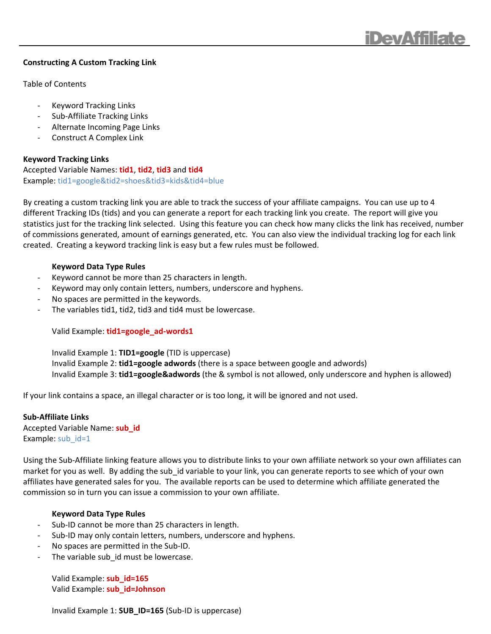

#### **Constructing A Custom Tracking Link**

Table of Contents

- ‐ Keyword Tracking Links
- ‐ Sub‐Affiliate Tracking Links
- ‐ Alternate Incoming Page Links
- ‐ Construct A Complex Link

**Keyword Tracking Links** Accepted Variable Names: **tid1**, **tid2**, **tid3** and **tid4** Example: tid1=google&tid2=shoes&tid3=kids&tid4=blue

By creating a custom tracking link you are able to track the success of your affiliate campaigns. You can use up to 4 different Tracking IDs (tids) and you can generate a report for each tracking link you create. The report will give you statistics just for the tracking link selected. Using this feature you can check how many clicks the link has received, number of commissions generated, amount of earnings generated, etc. You can also view the individual tracking log for each link created. Creating a keyword tracking link is easy but a few rules must be followed.

#### **Keyword Data Type Rules**

- ‐ Keyword cannot be more than 25 characters in length.
- ‐ Keyword may only contain letters, numbers, underscore and hyphens.
- ‐ No spaces are permitted in the keywords.
- ‐ The variables tid1, tid2, tid3 and tid4 must be lowercase.

Valid Example: **tid1=google\_ad‐words1**

Invalid Example 1: **TID1=google** (TID is uppercase) Invalid Example 2: **tid1=google adwords** (there is a space between google and adwords) Invalid Example 3: **tid1=google&adwords** (the & symbol is not allowed, only underscore and hyphen is allowed)

If your link contains a space, an illegal character or is too long, it will be ignored and not used.

### **Sub‐Affiliate Links**

Accepted Variable Name: **sub\_id** Example: sub id=1

Using the Sub‐Affiliate linking feature allows you to distribute links to your own affiliate network so your own affiliates can market for you as well. By adding the sub\_id variable to your link, you can generate reports to see which of your own affiliates have generated sales for you. The available reports can be used to determine which affiliate generated the commission so in turn you can issue a commission to your own affiliate.

### **Keyword Data Type Rules**

- Sub-ID cannot be more than 25 characters in length.
- Sub-ID may only contain letters, numbers, underscore and hyphens.
- ‐ No spaces are permitted in the Sub‐ID.
- The variable sub id must be lowercase.

Valid Example: **sub\_id=165** Valid Example: **sub\_id=Johnson**

Invalid Example 1: **SUB\_ID=165** (Sub‐ID is uppercase)